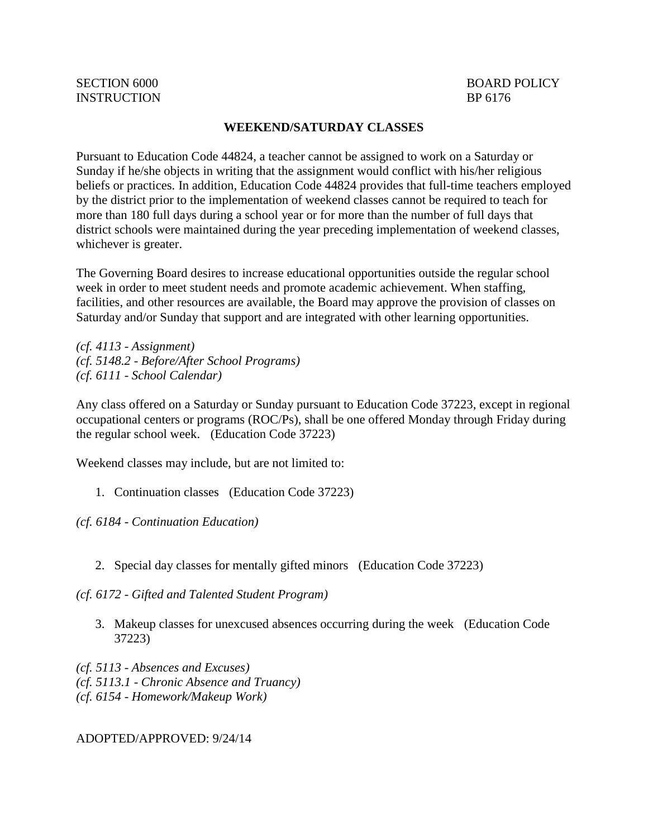## **WEEKEND/SATURDAY CLASSES**

Pursuant to Education Code [44824,](http://gamutonline.net/displayPolicy/130937/6) a teacher cannot be assigned to work on a Saturday or Sunday if he/she objects in writing that the assignment would conflict with his/her religious beliefs or practices. In addition, Education Code [44824](http://gamutonline.net/displayPolicy/130937/6) provides that full-time teachers employed by the district prior to the implementation of weekend classes cannot be required to teach for more than 180 full days during a school year or for more than the number of full days that district schools were maintained during the year preceding implementation of weekend classes, whichever is greater.

The Governing Board desires to increase educational opportunities outside the regular school week in order to meet student needs and promote academic achievement. When staffing, facilities, and other resources are available, the Board may approve the provision of classes on Saturday and/or Sunday that support and are integrated with other learning opportunities.

*(cf. 4113 - Assignment) (cf. 5148.2 - Before/After School Programs) (cf. 6111 - School Calendar)*

Any class offered on a Saturday or Sunday pursuant to Education Code 37223, except in regional occupational centers or programs (ROC/Ps), shall be one offered Monday through Friday during the regular school week. (Education Code 37223)

Weekend classes may include, but are not limited to:

1. Continuation classes (Education Code 37223)

*(cf. 6184 - Continuation Education)*

2. Special day classes for mentally gifted minors (Education Code 37223)

*(cf. 6172 - Gifted and Talented Student Program)*

3. Makeup classes for unexcused absences occurring during the week (Education Code 37223)

*(cf. 5113 - Absences and Excuses) (cf. 5113.1 - Chronic Absence and Truancy) (cf. 6154 - Homework/Makeup Work)*

ADOPTED/APPROVED: 9/24/14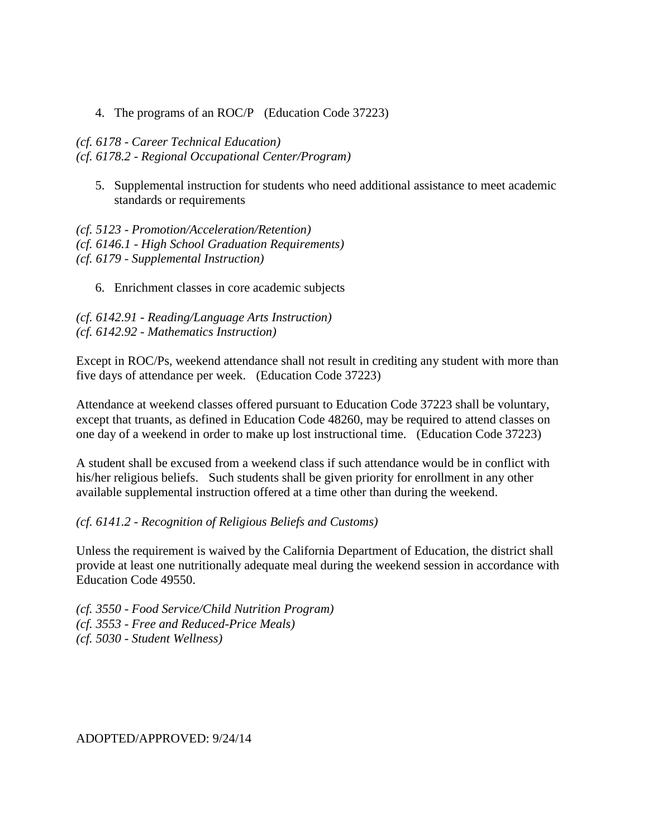4. The programs of an ROC/P (Education Code 37223)

## *(cf. 6178 - Career Technical Education) (cf. 6178.2 - Regional Occupational Center/Program)*

5. Supplemental instruction for students who need additional assistance to meet academic standards or requirements

*(cf. 5123 - Promotion/Acceleration/Retention) (cf. 6146.1 - High School Graduation Requirements) (cf. 6179 - Supplemental Instruction)*

6. Enrichment classes in core academic subjects

*(cf. 6142.91 - Reading/Language Arts Instruction) (cf. 6142.92 - Mathematics Instruction)*

Except in ROC/Ps, weekend attendance shall not result in crediting any student with more than five days of attendance per week. (Education Code 37223)

Attendance at weekend classes offered pursuant to Education Code 37223 shall be voluntary, except that truants, as defined in Education Code 48260, may be required to attend classes on one day of a weekend in order to make up lost instructional time. (Education Code 37223)

A student shall be excused from a weekend class if such attendance would be in conflict with his/her religious beliefs. Such students shall be given priority for enrollment in any other available supplemental instruction offered at a time other than during the weekend.

*(cf. 6141.2 - Recognition of Religious Beliefs and Customs)*

Unless the requirement is waived by the California Department of Education, the district shall provide at least one nutritionally adequate meal during the weekend session in accordance with Education Code 49550.

*(cf. 3550 - Food Service/Child Nutrition Program) (cf. 3553 - Free and Reduced-Price Meals) (cf. 5030 - Student Wellness)*

ADOPTED/APPROVED: 9/24/14